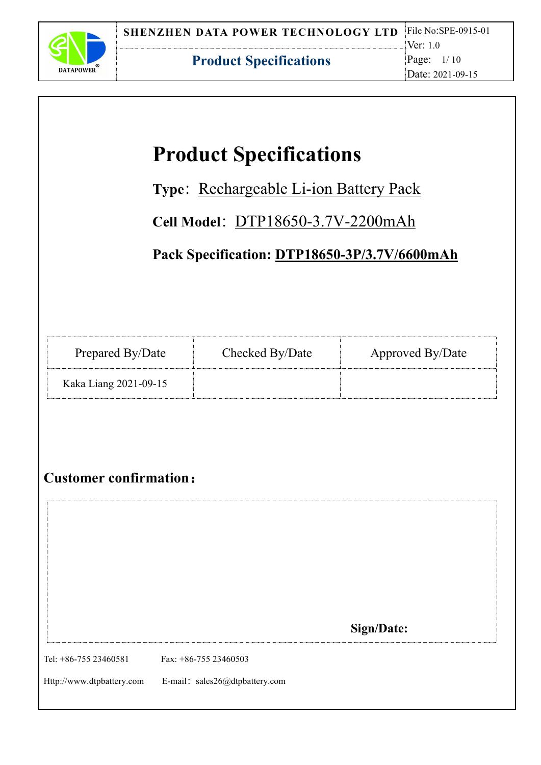

# **Product Specifications**

Type: Rechargeable Li-ion Battery Pack

Cell Model: DTP18650-3.7V-2200mAh

**Pack Specification: DTP18650-3P/3.7V/6600mAh**

| Prepared By/Date      | Checked By/Date | Approved By/Date |
|-----------------------|-----------------|------------------|
| Kaka Liang 2021-09-15 |                 |                  |

# **Customer confirmation**:

|                           |                                | <b>Sign/Date:</b> |  |
|---------------------------|--------------------------------|-------------------|--|
|                           |                                |                   |  |
| Tel: +86-755 23460581     | Fax: $+86-75523460503$         |                   |  |
|                           |                                |                   |  |
| Http://www.dtpbattery.com | E-mail: sales26@dtpbattery.com |                   |  |
|                           |                                |                   |  |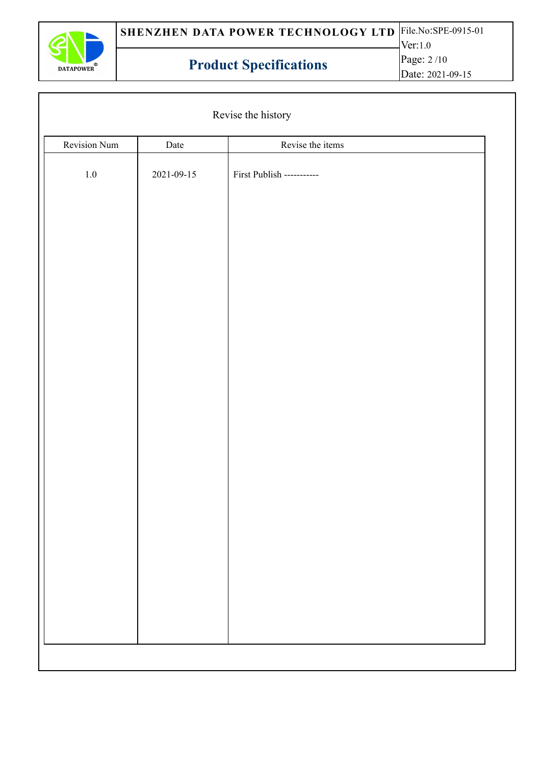

|              |                  | Revise the history        |  |
|--------------|------------------|---------------------------|--|
| Revision Num | Date             | Revise the items          |  |
| $1.0\,$      | $2021 - 09 - 15$ | First Publish ----------- |  |
|              |                  |                           |  |
|              |                  |                           |  |
|              |                  |                           |  |
|              |                  |                           |  |
|              |                  |                           |  |
|              |                  |                           |  |
|              |                  |                           |  |
|              |                  |                           |  |
|              |                  |                           |  |
|              |                  |                           |  |
|              |                  |                           |  |
|              |                  |                           |  |
|              |                  |                           |  |
|              |                  |                           |  |
|              |                  |                           |  |
|              |                  |                           |  |
|              |                  |                           |  |
|              |                  |                           |  |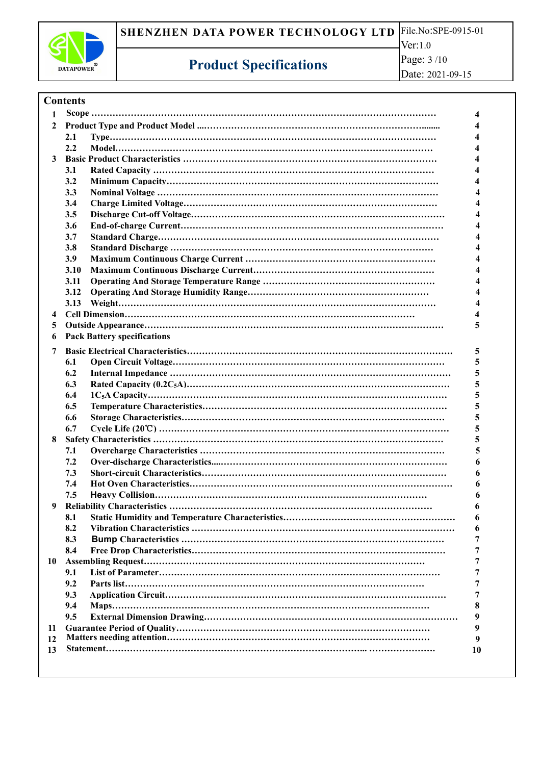

Page: 3 /10 Date: 2021-09-15

#### **Contents**

| 1              |             |                                      |           |  |
|----------------|-------------|--------------------------------------|-----------|--|
|                |             |                                      |           |  |
|                | 2.1         |                                      |           |  |
|                | 2.2         |                                      |           |  |
|                |             |                                      |           |  |
|                | 3.1         |                                      |           |  |
|                | 3.2         |                                      |           |  |
|                | 3.3         |                                      |           |  |
|                | 3.4         |                                      |           |  |
|                | 3.5         |                                      |           |  |
|                | 3.6         |                                      |           |  |
|                |             |                                      |           |  |
|                | 3.7         |                                      |           |  |
|                | 3.8         |                                      |           |  |
|                | <b>3.9</b>  |                                      |           |  |
|                | <b>3.10</b> |                                      |           |  |
|                | 3.11        |                                      |           |  |
|                | 3.12        |                                      |           |  |
|                | 3.13        |                                      |           |  |
|                |             |                                      |           |  |
| 5 <sup>5</sup> |             |                                      |           |  |
|                |             | <b>6</b> Pack Battery specifications |           |  |
| 7              |             |                                      | 5         |  |
|                | 6.1         |                                      | 5         |  |
|                | 6.2         |                                      |           |  |
|                | 6.3         |                                      |           |  |
|                | 6.4         |                                      |           |  |
|                | 6.5         |                                      |           |  |
|                | 6.6         |                                      |           |  |
|                | 6.7         |                                      |           |  |
| 8              |             |                                      |           |  |
|                | 7.1         |                                      |           |  |
|                | 7.2         |                                      |           |  |
|                | 7.3         |                                      | 6         |  |
|                | 7.4         |                                      | 6         |  |
|                | 7.5         |                                      | 6         |  |
|                |             |                                      |           |  |
|                |             |                                      | 6         |  |
|                | 8.1         |                                      |           |  |
|                | 8.2         |                                      |           |  |
|                | 8.3         |                                      |           |  |
|                | 8.4         |                                      |           |  |
| 10             |             |                                      |           |  |
|                | 9.1         |                                      |           |  |
|                | 9.2         |                                      |           |  |
|                | 9.3         |                                      |           |  |
|                | 9.4         |                                      | 8         |  |
|                | 9.5         |                                      | 9         |  |
| 11             |             |                                      | 9         |  |
| 12             |             |                                      | 9         |  |
| 13             |             |                                      | <b>10</b> |  |
|                |             |                                      |           |  |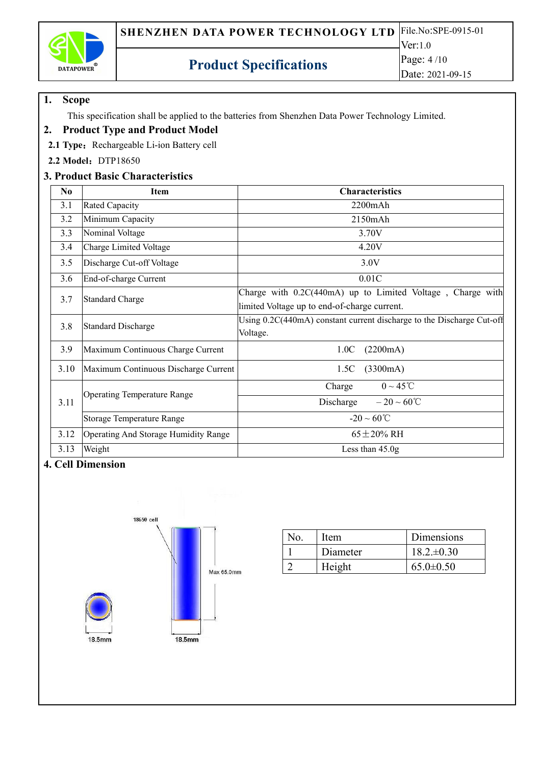

### **1. Scope**

This specification shall be applied to the batteries from Shenzhen Data Power Technology Limited.

### **2. Product Type and Product Model**

2.1 Type: Rechargeable Li-ion Battery cell

**2.2 Model**:DTP18650

### **3. Product Basic Characteristics**

| No.  | <b>Item</b>                          | <b>Characteristics</b>                                                                                     |
|------|--------------------------------------|------------------------------------------------------------------------------------------------------------|
| 3.1  | Rated Capacity                       | $2200$ m $Ah$                                                                                              |
| 3.2  | Minimum Capacity                     | $2150$ mAh                                                                                                 |
| 3.3  | Nominal Voltage                      | 3.70V                                                                                                      |
| 3.4  | Charge Limited Voltage               | 4.20V                                                                                                      |
| 3.5  | Discharge Cut-off Voltage            | 3.0V                                                                                                       |
| 3.6  | End-of-charge Current                | 0.01C                                                                                                      |
| 3.7  | Standard Charge                      | Charge with 0.2C(440mA) up to Limited Voltage, Charge with<br>limited Voltage up to end-of-charge current. |
| 3.8  | Standard Discharge                   | Using 0.2C(440mA) constant current discharge to the Discharge Cut-off<br>Voltage.                          |
| 3.9  | Maximum Continuous Charge Current    | (2200mA)<br>1.0C                                                                                           |
| 3.10 | Maximum Continuous Discharge Current | (3300mA)<br>1.5C                                                                                           |
|      |                                      | $0 \sim 45$ °C<br>Charge                                                                                   |
| 3.11 | <b>Operating Temperature Range</b>   | Discharge<br>$-20 \sim 60^{\circ}C$                                                                        |
|      | <b>Storage Temperature Range</b>     | $-20 \sim 60^{\circ}C$                                                                                     |
| 3.12 | Operating And Storage Humidity Range | $65 \pm 20\%$ RH                                                                                           |
| 3.13 | Weight                               | Less than $45.0g$                                                                                          |

### **4. Cell Dimension**



| Item     | Dimensions      |
|----------|-----------------|
| Diameter | $18.2 \pm 0.30$ |
| Height   | $65.0 \pm 0.50$ |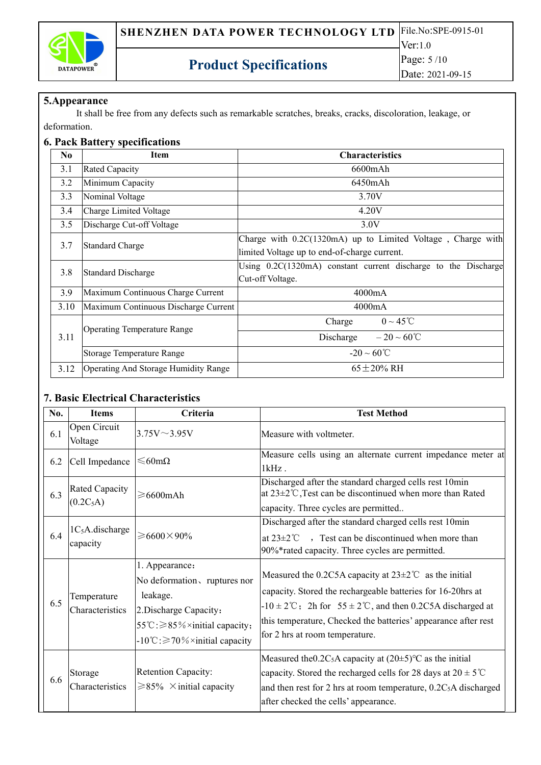

Date: 2021-09-15

#### **5.Appearance**

It shall be free from any defects such as remarkable scratches, breaks, cracks, discoloration, leakage, or deformation.

#### **6. Pack Battery specifications**

| No   | <b>Item</b>                          | <b>Characteristics</b>                                                                                      |
|------|--------------------------------------|-------------------------------------------------------------------------------------------------------------|
| 3.1  | Rated Capacity                       | 6600mAh                                                                                                     |
| 3.2  | Minimum Capacity                     | 6450mAh                                                                                                     |
| 3.3  | Nominal Voltage                      | 3.70V                                                                                                       |
| 3.4  | Charge Limited Voltage               | 4.20V                                                                                                       |
| 3.5  | Discharge Cut-off Voltage            | 3.0V                                                                                                        |
| 3.7  | <b>Standard Charge</b>               | Charge with 0.2C(1320mA) up to Limited Voltage, Charge with<br>limited Voltage up to end-of-charge current. |
| 3.8  | <b>Standard Discharge</b>            | Using 0.2C(1320mA) constant current discharge to the Discharge<br>Cut-off Voltage.                          |
| 3.9  | Maximum Continuous Charge Current    | 4000mA                                                                                                      |
| 3.10 | Maximum Continuous Discharge Current | 4000mA                                                                                                      |
|      |                                      | $0 \sim 45$ °C<br>Charge                                                                                    |
| 3.11 | <b>Operating Temperature Range</b>   | $-20 \sim 60^{\circ}C$<br>Discharge                                                                         |
|      | Storage Temperature Range            | $-20 \sim 60^{\circ}$ C                                                                                     |
| 3.12 | Operating And Storage Humidity Range | $65 \pm 20\%$ RH                                                                                            |

### **7. Basic Electrical Characteristics**

| No. | <b>Items</b>                            | Criteria                                                                                                                                                                                    | <b>Test Method</b>                                                                                                                                                                                                                                                                                                                      |  |  |
|-----|-----------------------------------------|---------------------------------------------------------------------------------------------------------------------------------------------------------------------------------------------|-----------------------------------------------------------------------------------------------------------------------------------------------------------------------------------------------------------------------------------------------------------------------------------------------------------------------------------------|--|--|
| 6.1 | Open Circuit<br>Voltage                 | $3.75V \sim 3.95V$                                                                                                                                                                          | Measure with voltmeter.                                                                                                                                                                                                                                                                                                                 |  |  |
| 6.2 | Cell Impedance                          | $≤60$ mΩ                                                                                                                                                                                    | Measure cells using an alternate current impedance meter at<br>$1kHz$ .                                                                                                                                                                                                                                                                 |  |  |
| 6.3 | Rated Capacity<br>(0.2C <sub>5</sub> A) | $\geq 6600$ mAh                                                                                                                                                                             | Discharged after the standard charged cells rest 10min<br>at 23±2°C, Test can be discontinued when more than Rated<br>capacity. Three cycles are permitted                                                                                                                                                                              |  |  |
| 6.4 | $1C5A$ .discharge<br>capacity           | $\geqslant$ 6600 $\times$ 90%                                                                                                                                                               | Discharged after the standard charged cells rest 10min<br>Fest can be discontinued when more than<br>at $23\pm2$ °C<br>90%*rated capacity. Three cycles are permitted.                                                                                                                                                                  |  |  |
| 6.5 | Temperature<br>Characteristics          | 1. Appearance:<br>No deformation, ruptures nor<br>leakage.<br>2. Discharge Capacity:<br>55°C: $\geq$ 85% × initial capacity;<br>$-10^{\circ}\text{C}$ : $\geq 70\% \times$ initial capacity | Measured the 0.2C5A capacity at $23 \pm 2^{\circ}$ as the initial<br>capacity. Stored the rechargeable batteries for 16-20hrs at<br>$-10 \pm 2^{\circ}\text{C}$ ; 2h for 55 $\pm 2^{\circ}\text{C}$ , and then 0.2C5A discharged at<br>this temperature, Checked the batteries' appearance after rest<br>for 2 hrs at room temperature. |  |  |
| 6.6 | Storage<br>Characteristics              | <b>Retention Capacity:</b><br>$\geq 85\%$ × initial capacity                                                                                                                                | Measured the 0.2C <sub>5</sub> A capacity at $(20\pm 5)$ °C as the initial<br>capacity. Stored the recharged cells for 28 days at $20 \pm 5^{\circ}$ C<br>and then rest for 2 hrs at room temperature, 0.2C <sub>5</sub> A discharged<br>after checked the cells' appearance.                                                           |  |  |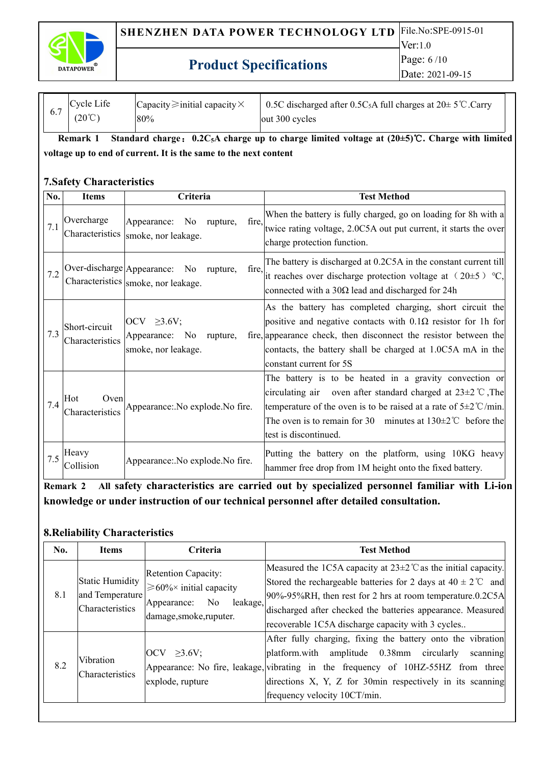

| 0.7 | Cycle Life<br>$(20^{\circ}C)$ | Capacity $\geq$ initial capacity $\times$<br>80% | 0.5C discharged after 0.5C <sub>5</sub> A full charges at $20 \pm 5^{\circ}$ C.Carry<br>$\vert$ out 300 cycles |  |
|-----|-------------------------------|--------------------------------------------------|----------------------------------------------------------------------------------------------------------------|--|
|     |                               |                                                  |                                                                                                                |  |

Remark 1 Standard charge: 0.2C<sub>5</sub>A charge up to charge limited voltage at (20±5)°C. Charge with limited **voltage up toend of current. It is the same to the nextcontent**

#### **7.Safety Characteristics**

| No. | <b>Items</b>                     | Criteria                                                                               | <b>Test Method</b>                                                                                                                                                                                                                                                                                          |
|-----|----------------------------------|----------------------------------------------------------------------------------------|-------------------------------------------------------------------------------------------------------------------------------------------------------------------------------------------------------------------------------------------------------------------------------------------------------------|
| 7.1 | Overcharge<br>Characteristics    | No rupture,<br>fire,<br>Appearance:<br>smoke, nor leakage.                             | When the battery is fully charged, go on loading for 8h with a<br>twice rating voltage, 2.0C5A out put current, it starts the over<br>charge protection function.                                                                                                                                           |
| 7.2 |                                  | Over-discharge Appearance: No rupture,<br>fire,<br>Characteristics smoke, nor leakage. | The battery is discharged at 0.2C5A in the constant current till<br>it reaches over discharge protection voltage at $(20\pm5)$ °C,<br>connected with a $30\Omega$ lead and discharged for 24h                                                                                                               |
| 7.3 | Short-circuit<br>Characteristics | $\vert$ OCV $\geq$ 3.6V;<br>Appearance: No<br>rupture,<br>smoke, nor leakage.          | As the battery has completed charging, short circuit the<br>positive and negative contacts with $0.1\Omega$ resistor for 1h for<br>fire, appearance check, then disconnect the resistor between the<br>contacts, the battery shall be charged at 1.0C5A mA in the<br>constant current for 5S                |
| 7.4 | Hot<br>Oven<br>Characteristics   | Appearance: No explode. No fire.                                                       | The battery is to be heated in a gravity convection or<br>circulating air oven after standard charged at $23\pm2$ °C, The<br>temperature of the oven is to be raised at a rate of $5\pm2^{\circ}$ C/min.<br>The oven is to remain for 30 minutes at $130 \pm 2^{\circ}$ before the<br>test is discontinued. |
| 7.5 | Heavy<br>Collision               | Appearance: No explode. No fire.                                                       | Putting the battery on the platform, using 10KG heavy<br>hammer free drop from 1M height onto the fixed battery.                                                                                                                                                                                            |

**Remark 2 All safety characteristics are carried out by specialized personnel familiar with Li-ion knowledge or under instruction of our technical personnel after detailed consultation.**

#### **8.Reliability Characteristics**

| No. | <b>Items</b>                                          | Criteria                                                                                                                      | <b>Test Method</b>                                                                                                                                                                                                                                                                                                                    |
|-----|-------------------------------------------------------|-------------------------------------------------------------------------------------------------------------------------------|---------------------------------------------------------------------------------------------------------------------------------------------------------------------------------------------------------------------------------------------------------------------------------------------------------------------------------------|
| 8.1 | Static Humidity<br>and Temperature<br>Characteristics | <b>Retention Capacity:</b><br>$\geq 60\% \times$ initial capacity<br>No<br>leakage,<br>Appearance:<br>damage, smoke, ruputer. | Measured the 1C5A capacity at $23\pm2$ °C as the initial capacity.<br>Stored the rechargeable batteries for 2 days at $40 \pm 2^{\circ}$ and<br>$90\% - 95\% RH$ , then rest for 2 hrs at room temperature.0.2C5A<br>discharged after checked the batteries appearance. Measured<br>recoverable 1C5A discharge capacity with 3 cycles |
| 8.2 | Vibration<br>Characteristics                          | $\vert \text{OCV} \rangle$ $\geq$ 3.6V;<br>explode, rupture                                                                   | After fully charging, fixing the battery onto the vibration<br>platform with amplitude 0.38mm circularly<br>scanning<br>Appearance: No fire, leakage, vibrating in the frequency of 10HZ-55HZ from three<br>directions X, Y, Z for 30min respectively in its scanning<br>frequency velocity 10CT/min.                                 |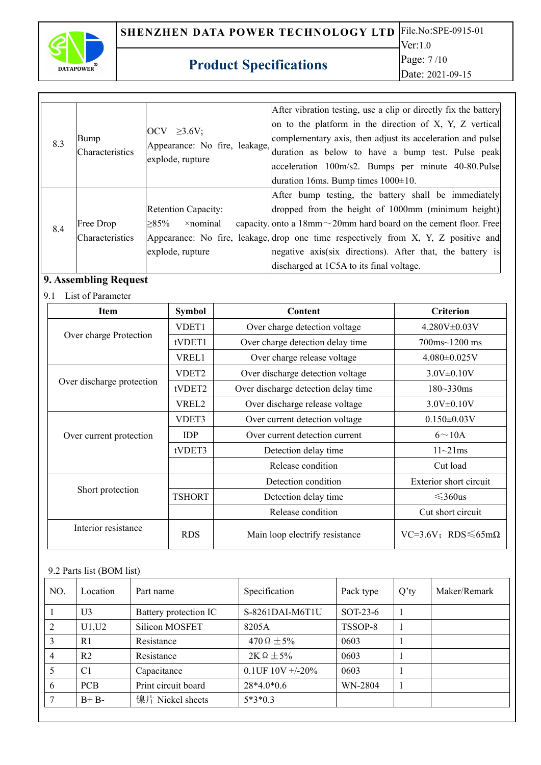

### Ver:1.0 Page: 7 /10 Date: 2021-09-15

### **Product Specifications**

 $8.3$   $\begin{array}{|l|}\n\hline\n\text{Bump} \\
\hline\n\text{A} & \text{A} \\
\hline\n\text{B} & \text{B} \\
\hline\n\text{B} & \text{B} \\
\hline\n\text{B} & \text{B} \\
\hline\n\text{B} & \text{B} \\
\hline\n\text{B} & \text{B} \\
\hline\n\text{C} & \text{B} \\
\hline\n\text{D} & \text{B} \\
\hline\n\text{E} & \text{B} \\
\hline\n\text{D} & \text{B} \\
\hline\n\text{E} & \text{B} \\
\hline\n\text{E} & \text{B} \\
\$ Characteristics OCV  $\geq$ 3.6V; explode, rupture After vibration testing, use a clip or directly fix the battery on to the platform in the direction of X, Y, Z vertical complementary axis, then adjust its acceleration and pulse duration as below to have a bump test. Pulse peak acceleration 100m/s2. Bumps per minute 40-80.Pulse duration 16ms. Bump times 1000±10. 8.4  $\begin{array}{|l|l|}\n\hline\n\text{Free Drop} & \geq 85\% \quad \text{Xnominal} \\
\text{Characteristics} & \text{Aprearance: No f} \\
\hline\n\end{array}$ Characteristics Appearance: No fire, leakage, drop one time respectively from X, Y, Z positive and Retention Capacity:  $\geq$ 85%  $\rightarrow$  ×nominal capacity. onto a 18mm $\sim$ 20mm hard board on the cement floor. Free explode, rupture After bump testing, the battery shall be immediately dropped from the height of 1000mm (minimum height) negative axis(six directions). After that, the battery is discharged at 1C5A to its final voltage.

### **9. Assembling Request**

#### 9.1 List of Parameter

| <b>Item</b>               | Symbol            | Content                             | <b>Criterion</b>                     |
|---------------------------|-------------------|-------------------------------------|--------------------------------------|
|                           | VDET1             | Over charge detection voltage       | $4.280V \pm 0.03V$                   |
| Over charge Protection    | tVDET1            | Over charge detection delay time    | $700 \text{ms} \sim 1200 \text{ ms}$ |
|                           | VREL1             | Over charge release voltage         | $4.080 \pm 0.025$ V                  |
|                           | VDET <sub>2</sub> | Over discharge detection voltage    | $3.0V \pm 0.10V$                     |
| Over discharge protection | tVDET2            | Over discharge detection delay time | $180 - 330$ ms                       |
|                           | VREL2             | Over discharge release voltage      | $3.0V \pm 0.10V$                     |
|                           | VDET3             | Over current detection voltage      | $0.150 \pm 0.03 V$                   |
| Over current protection   | <b>IDP</b>        | Over current detection current      | $6 \sim 10A$                         |
|                           | tVDET3            | Detection delay time                | $11 \sim 21 \text{ms}$               |
|                           |                   | Release condition                   | Cut load                             |
|                           |                   | Detection condition                 | Exterior short circuit               |
| Short protection          | <b>TSHORT</b>     | Detection delay time                | $\leq 360$ us                        |
|                           |                   | Release condition                   | Cut short circuit                    |
| Interior resistance       | <b>RDS</b>        | Main loop electrify resistance      | $VC=3.6V$ : RDS $\leq 65m\Omega$     |

#### 9.2 Parts list (BOM list)

| NO. | Location       | Part name             | Specification        | Pack type | $Q'$ ty | Maker/Remark |
|-----|----------------|-----------------------|----------------------|-----------|---------|--------------|
|     | U <sub>3</sub> | Battery protection IC | S-8261DAI-M6T1U      | SOT-23-6  |         |              |
|     | U1, U2         | Silicon MOSFET        | 8205A                | TSSOP-8   |         |              |
|     | R1             | Resistance            | 470 $\Omega \pm 5\%$ | 0603      |         |              |
|     | R <sub>2</sub> | Resistance            | $2K \Omega \pm 5\%$  | 0603      |         |              |
|     | C <sub>1</sub> | Capacitance           | 0.1UF $10V + -20\%$  | 0603      |         |              |
| 6   | <b>PCB</b>     | Print circuit board   | $28*4.0*0.6$         | WN-2804   |         |              |
|     | $B + B$        | 镍片 Nickel sheets      | $5*3*0.3$            |           |         |              |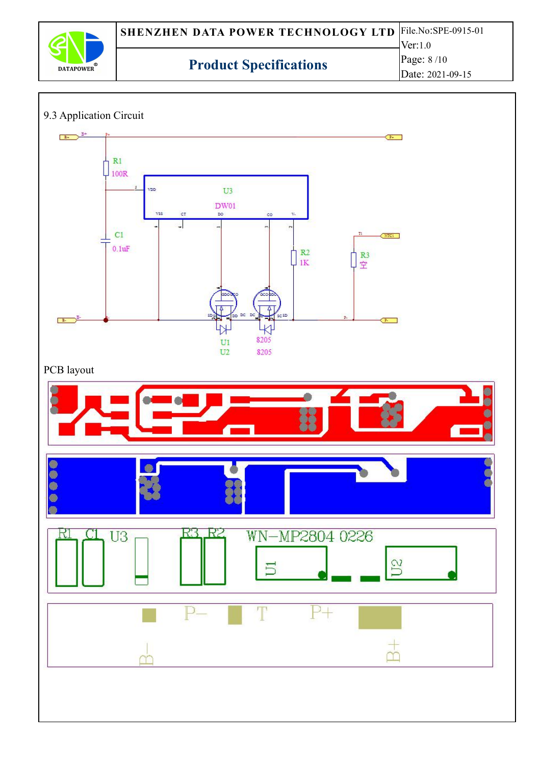![](_page_7_Picture_0.jpeg)

### 9.3 Application Circuit

![](_page_7_Figure_4.jpeg)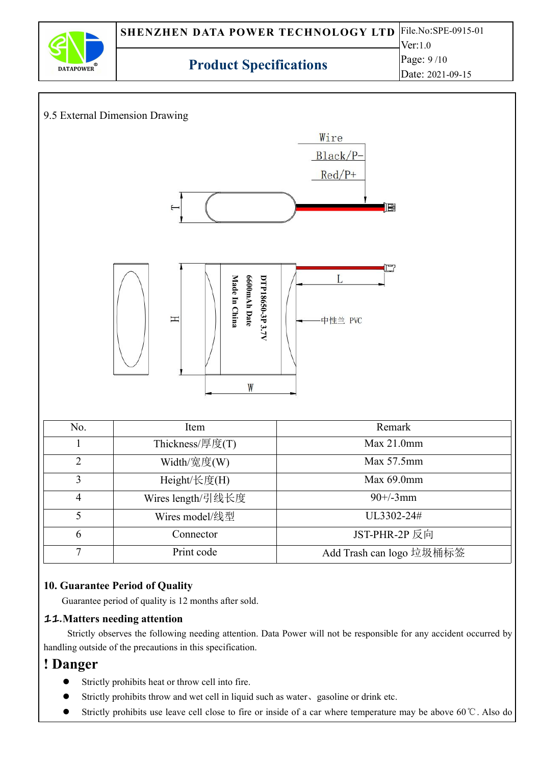![](_page_8_Picture_0.jpeg)

![](_page_8_Figure_1.jpeg)

### **10. Guarantee Period of Quality**

Guarantee period of quality is 12 months after sold.

#### **11.Matters needing attention**

Strictly observes the following needing attention. Data Power will not be responsible for any accident occurred by handling outside of the precautions in this specification.

### **! Danger**

- Strictly prohibits heat or throw cell into fire.
- Strictly prohibits throw and wet cell in liquid such as water、gasoline or drink etc.
- Strictly prohibits use leave cell close to fire or inside of a car where temperature may be above 60℃. Also do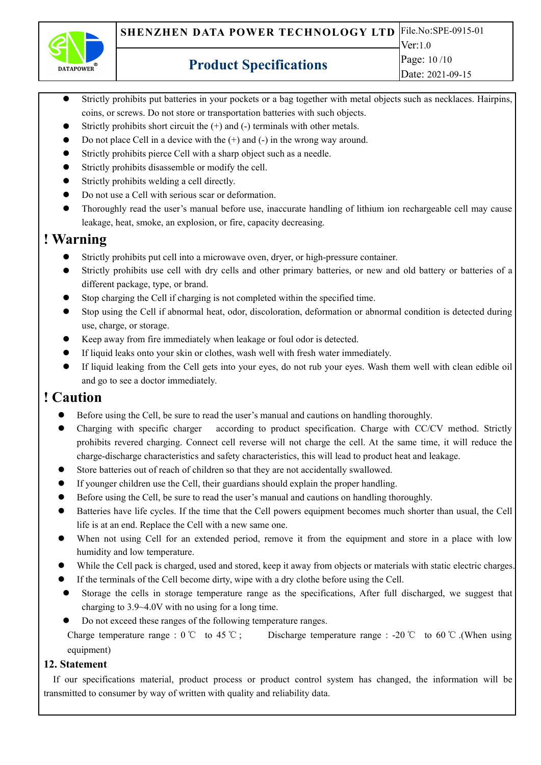![](_page_9_Picture_0.jpeg)

- Strictly prohibits put batteries in your pockets or a bag together with metal objects such as necklaces. Hairpins, coins, or screws. Do not store or transportation batteries with such objects.
- Strictly prohibits short circuit the  $(+)$  and  $(-)$  terminals with other metals.
- Do not place Cell in a device with the  $(+)$  and  $(-)$  in the wrong way around.
- Strictly prohibits pierce Cell with a sharp object such as a needle.
- Strictly prohibits disassemble or modify the cell.
- Strictly prohibits welding a cell directly.
- Do not use a Cell with serious scar or deformation.
- Thoroughly read the user's manual before use, inaccurate handling of lithium ion rechargeable cell may cause leakage, heat, smoke, an explosion, or fire, capacity decreasing.

### **! Warning**

- Strictly prohibits put cell into a microwave oven, dryer, or high-pressure container.
- Strictly prohibits use cell with dry cells and other primary batteries, or new and old battery or batteries of a different package, type, or brand.
- Stop charging the Cell if charging is not completed within the specified time.
- Stop using the Cell if abnormal heat, odor, discoloration, deformation or abnormal condition is detected during use, charge, or storage.
- Keep away from fire immediately when leakage or foul odor is detected.
- If liquid leaks onto your skin or clothes, wash well with fresh water immediately.
- If liquid leaking from the Cell gets into your eyes, do not rub your eyes. Wash them well with clean edible oil and go to see a doctor immediately.

# **! Caution**

- Before using the Cell, be sure to read the user's manual and cautions on handling thoroughly.
- Charging with specific charger according to product specification. Charge with CC/CV method. Strictly prohibits revered charging. Connect cell reverse will not charge the cell. At the same time, it will reduce the charge-discharge characteristics and safety characteristics, this will lead to product heat and leakage.
- Store batteries out of reach of children so that they are not accidentally swallowed.
- If younger children use the Cell, their guardians should explain the proper handling.
- Before using the Cell, be sure to read the user's manual and cautions on handling thoroughly.
- Batteries have life cycles. If the time that the Cell powers equipment becomes much shorter than usual, the Cell life is at an end. Replace the Cell with a new same one.
- When not using Cell for an extended period, remove it from the equipment and store in a place with low humidity and low temperature.
- While the Cell pack is charged, used and stored, keep it away from objects or materials with static electric charges.
- If the terminals of the Cell become dirty, wipe with a dry clothe before using the Cell.
- Storage the cells in storage temperature range as the specifications, After full discharged, we suggest that charging to 3.9~4.0V with no using for a long time.
- Do not exceed these ranges of the following temperature ranges.

Charge temperature range :  $0^{\circ}$  to 45 °C ; Discharge temperature range : -20 °C to 60 °C .(When using equipment)

### **12. Statement**

If our specifications material, product process or product control system has changed, the information will be transmitted to consumer by way of written with quality and reliability data.